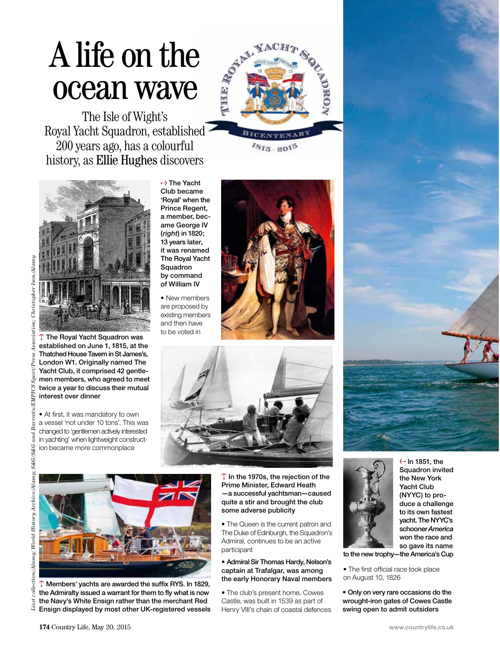## A life on the ocean wave

The Isle of Wight's Royal Yacht Squadron, established 200 years ago, has a colourful history, as Ellie Hughes discovers



 $v_{815-2015}$ 



 $\uparrow$  The Royal Yacht Squadron was established on June 1, 1815, at the Thatched House Tavern in St James's, London W1. Originally named The Yacht Club, it comprised 42 gentlemen members, who agreed to meet twice a year to discuss their mutual interest over dinner

• At first, it was mandatory to own a vessel 'not under 10 tons'. This was changed to 'gentlemen actively interested in yachting' when lightweight construction became more commonplace

 $\rightarrow$  The Yacht Club became 'Royal' when the Prince Regent, a member, became George IV (*right*) in 1820; 13 years later, it was renamed The Royal Yacht Squadron by command of William IV

• New members are proposed by existing members and then have to be voted in







 $\uparrow$  Members' yachts are awarded the suffix RYS. In 1829, the Admiralty issued a warrant for them to fly what is now the Navy's White Ensign rather than the merchant Red Ensign displayed by most other UK-registered vessels  $\uparrow$  In the 1970s, the rejection of the Prime Minister, Edward Heath —a successful yachtsman—caused quite a stir and brought the club some adverse publicity

• The Queen is the current patron and The Duke of Edinburgh, the Squadron's Admiral, continues to be an active participant

## • Admiral Sir Thomas Hardy, Nelson's captain at Trafalgar, was among the early Honorary Naval members

• The club's present home, Cowes Castle, was built in 1539 as part of Henry VIII's chain of coastal defences



 $\leftrightarrow$  In 1851, the Squadron invited the New York Yacht Club (NYYC) to produce a challenge to its own fastest yacht. The NYYC's schooner *America* won the race and so gave its name

to the new trophy—the America's Cup

• The first official race took place on August 10, 1826

• Only on very rare occasions do the wrought-iron gates of Cowes Castle swing open to admit outsiders

 $List$